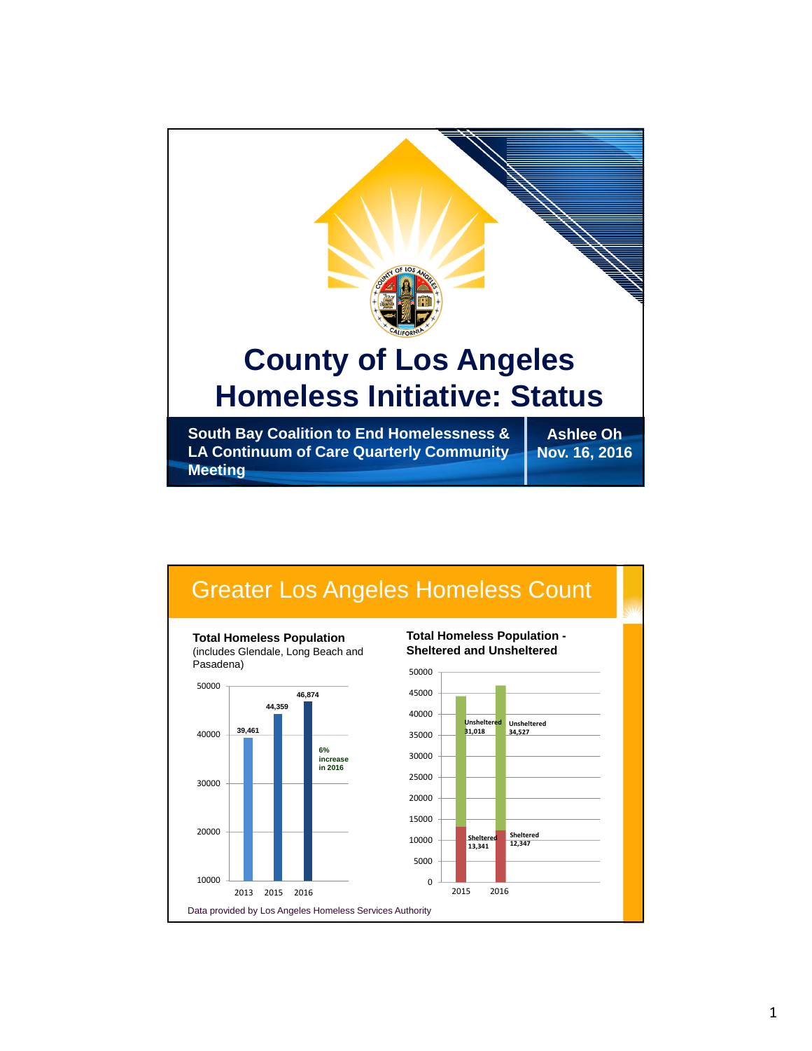

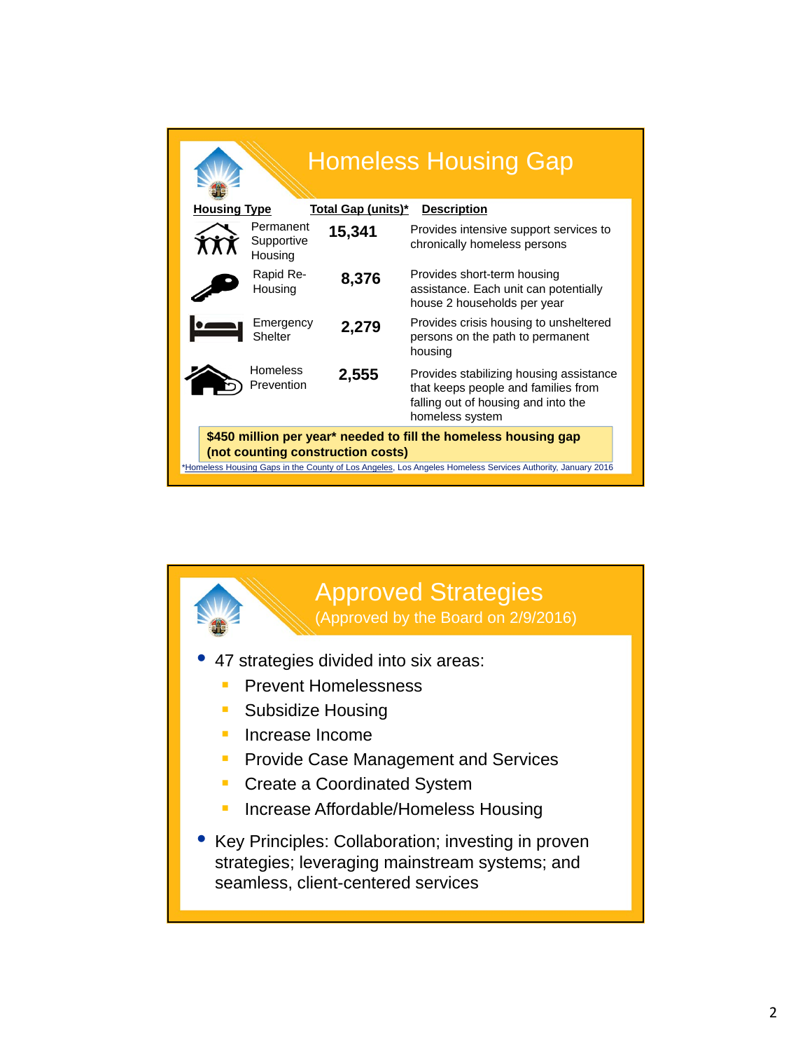| <b>Homeless Housing Gap</b>                                                                                                                                                                                        |                                    |        |                                                                                                                                          |
|--------------------------------------------------------------------------------------------------------------------------------------------------------------------------------------------------------------------|------------------------------------|--------|------------------------------------------------------------------------------------------------------------------------------------------|
| <b>Housing Type</b><br><u> Total Gap (units)*</u><br><b>Description</b>                                                                                                                                            |                                    |        |                                                                                                                                          |
|                                                                                                                                                                                                                    | Permanent<br>Supportive<br>Housing | 15,341 | Provides intensive support services to<br>chronically homeless persons                                                                   |
|                                                                                                                                                                                                                    | Rapid Re-<br>Housing               | 8,376  | Provides short-term housing<br>assistance. Each unit can potentially<br>house 2 households per year                                      |
|                                                                                                                                                                                                                    | Emergency<br>Shelter               | 2,279  | Provides crisis housing to unsheltered<br>persons on the path to permanent<br>housing                                                    |
|                                                                                                                                                                                                                    | <b>Homeless</b><br>Prevention      | 2,555  | Provides stabilizing housing assistance<br>that keeps people and families from<br>falling out of housing and into the<br>homeless system |
| \$450 million per year* needed to fill the homeless housing gap<br>(not counting construction costs)<br>*Homeless Housing Gaps in the County of Los Angeles, Los Angeles Homeless Services Authority, January 2016 |                                    |        |                                                                                                                                          |

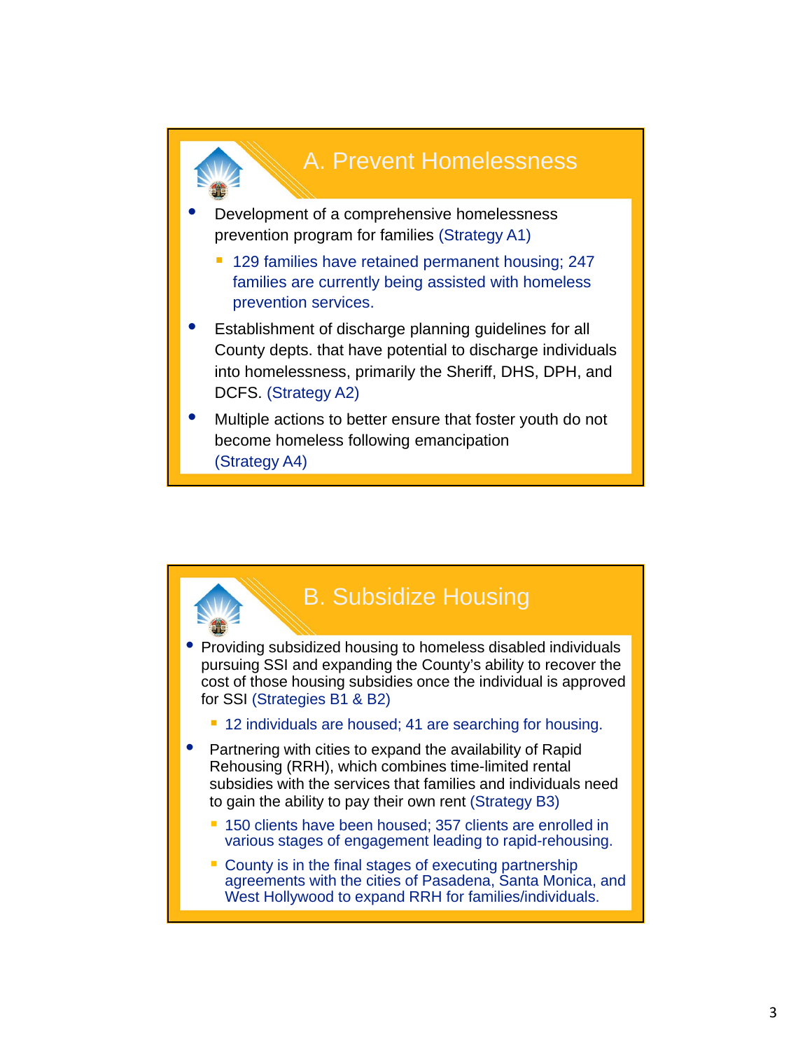

• Development of a comprehensive homelessness prevention program for families (Strategy A1)

- <sup>1</sup> 129 families have retained permanent housing; 247 families are currently being assisted with homeless prevention services.
- Establishment of discharge planning guidelines for all County depts. that have potential to discharge individuals into homelessness, primarily the Sheriff, DHS, DPH, and DCFS. (Strategy A2)
- Multiple actions to better ensure that foster youth do not become homeless following emancipation (Strategy A4)

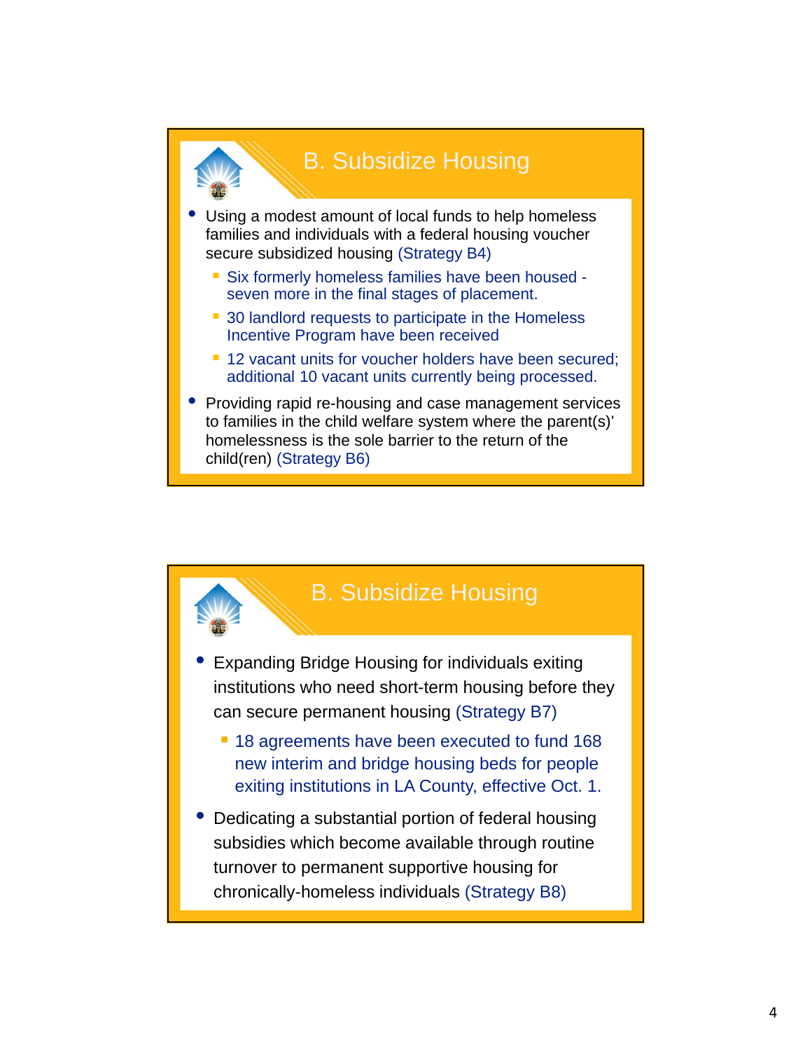

Using a modest amount of local funds to help homeless families and individuals with a federal housing voucher secure subsidized housing (Strategy B4)

- Six formerly homeless families have been housed seven more in the final stages of placement.
- 30 landlord requests to participate in the Homeless Incentive Program have been received
- <sup>1</sup> 12 vacant units for voucher holders have been secured; additional 10 vacant units currently being processed.
- Providing rapid re-housing and case management services to families in the child welfare system where the parent(s)' homelessness is the sole barrier to the return of the child(ren) (Strategy B6)

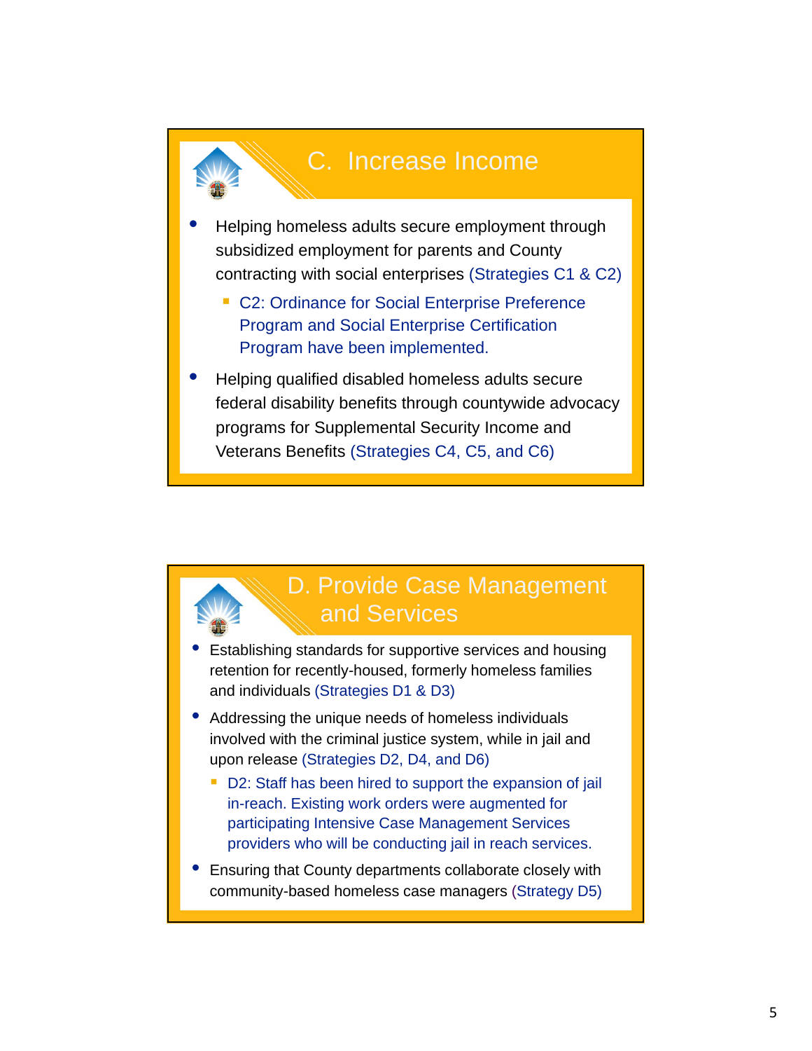

- Helping homeless adults secure employment through subsidized employment for parents and County contracting with social enterprises (Strategies C1 & C2)
	- C2: Ordinance for Social Enterprise Preference Program and Social Enterprise Certification Program have been implemented.
- Helping qualified disabled homeless adults secure federal disability benefits through countywide advocacy programs for Supplemental Security Income and Veterans Benefits (Strategies C4, C5, and C6)

## D. Provide Case Management and Services

- Establishing standards for supportive services and housing retention for recently-housed, formerly homeless families and individuals (Strategies D1 & D3)
- Addressing the unique needs of homeless individuals involved with the criminal justice system, while in jail and upon release (Strategies D2, D4, and D6)
	- D2: Staff has been hired to support the expansion of jail in-reach. Existing work orders were augmented for participating Intensive Case Management Services providers who will be conducting jail in reach services.
- Ensuring that County departments collaborate closely with community-based homeless case managers (Strategy D5)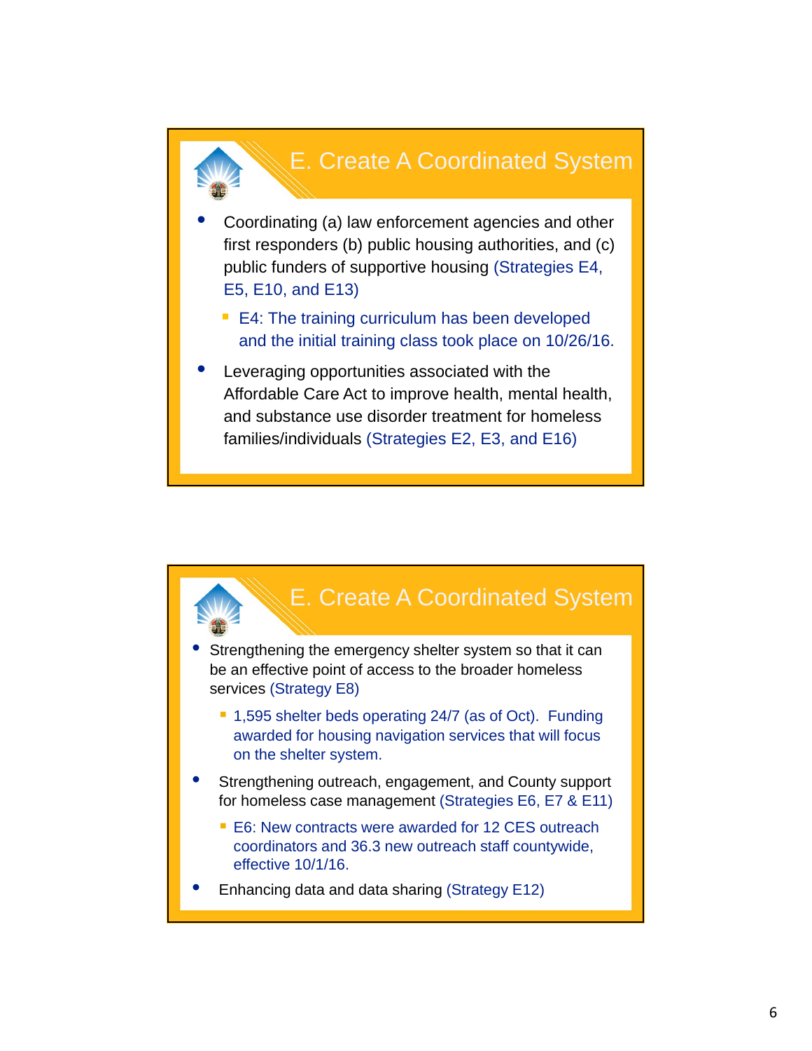## E. Create A Coordinated System

- Coordinating (a) law enforcement agencies and other first responders (b) public housing authorities, and (c) public funders of supportive housing (Strategies E4, E5, E10, and E13)
	- E4: The training curriculum has been developed and the initial training class took place on 10/26/16.
- Leveraging opportunities associated with the Affordable Care Act to improve health, mental health, and substance use disorder treatment for homeless families/individuals (Strategies E2, E3, and E16)

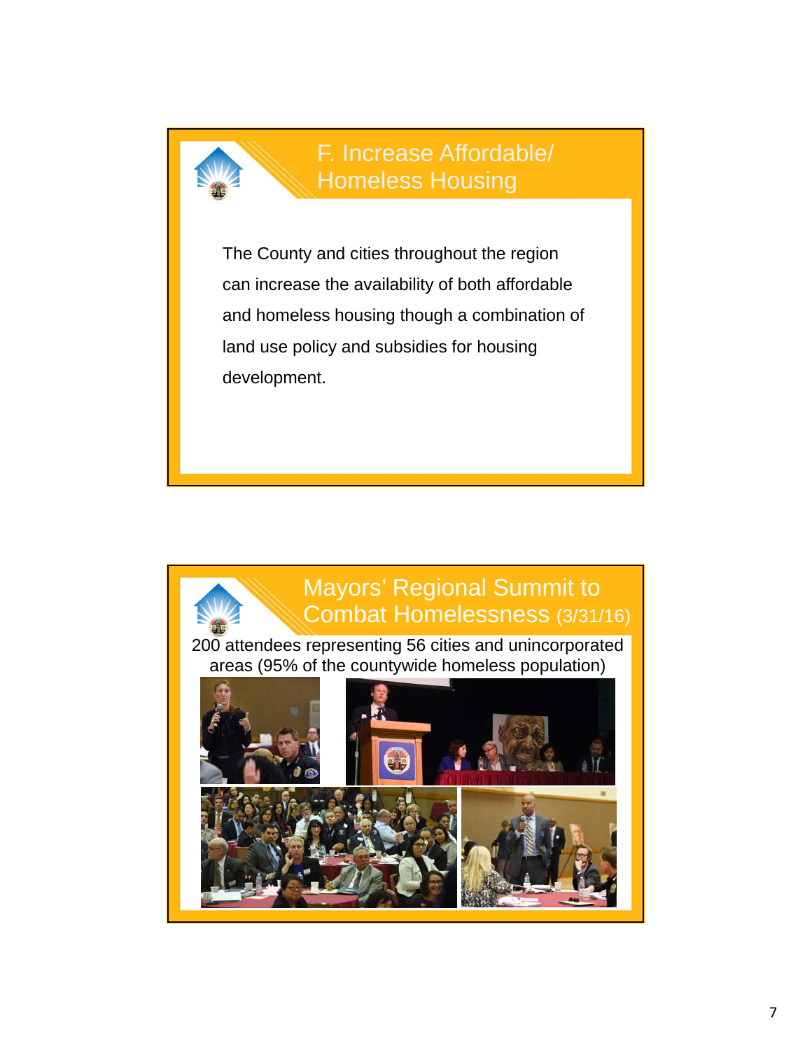

F. Increase Affordable/ Homeless Housing

The County and cities throughout the region can increase the availability of both affordable and homeless housing though a combination of land use policy and subsidies for housing development.